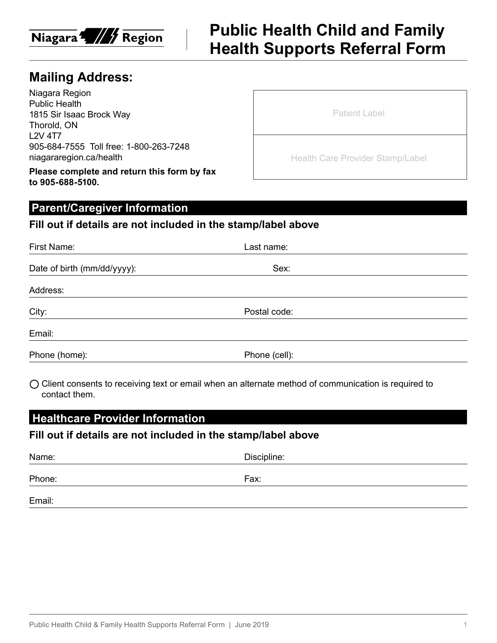

## **Public Health Child and Family Health Supports Referral Form**

## **Mailing Address:**

Niagara Region Public Health 1815 Sir Isaac Brock Way Thorold, ON L2V 4T7 905-684-7555 Toll free: 1-800-263-7248 niagararegion.ca/health

**Please complete and return this form by fax to 905-688-5100.**

| <b>Patient Label</b> |  |  |  |
|----------------------|--|--|--|
|                      |  |  |  |

Health Care Provider Stamp/Label

## **Parent/Caregiver Information**

#### **Fill out if details are not included in the stamp/label above**

| First Name:                 | Last name:    |  |
|-----------------------------|---------------|--|
| Date of birth (mm/dd/yyyy): | Sex:          |  |
| Address:                    |               |  |
| City:                       | Postal code:  |  |
| Email:                      |               |  |
| Phone (home):               | Phone (cell): |  |

 $\bigcirc$  Client consents to receiving text or email when an alternate method of communication is required to contact them.

## **Healthcare Provider Information**

#### **Fill out if details are not included in the stamp/label above**

| Name:  | Discipline: |
|--------|-------------|
| Phone: | Fax:        |
| Email: |             |